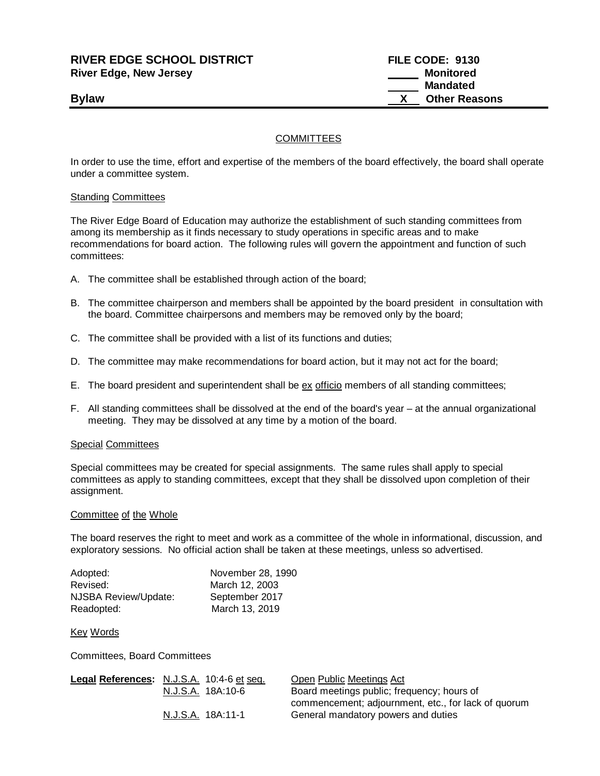# **RIVER EDGE SCHOOL DISTRICT FILE CODE: 9130 River Edge, New Jersey Monitored**

 **Mandated Bylaw Bylaw X** Other Reasons

## **COMMITTEES**

In order to use the time, effort and expertise of the members of the board effectively, the board shall operate under a committee system.

### Standing Committees

The River Edge Board of Education may authorize the establishment of such standing committees from among its membership as it finds necessary to study operations in specific areas and to make recommendations for board action. The following rules will govern the appointment and function of such committees:

- A. The committee shall be established through action of the board;
- B. The committee chairperson and members shall be appointed by the board president in consultation with the board. Committee chairpersons and members may be removed only by the board;
- C. The committee shall be provided with a list of its functions and duties;
- D. The committee may make recommendations for board action, but it may not act for the board;
- E. The board president and superintendent shall be ex officio members of all standing committees;
- F. All standing committees shall be dissolved at the end of the board's year at the annual organizational meeting. They may be dissolved at any time by a motion of the board.

#### Special Committees

Special committees may be created for special assignments. The same rules shall apply to special committees as apply to standing committees, except that they shall be dissolved upon completion of their assignment.

#### Committee of the Whole

The board reserves the right to meet and work as a committee of the whole in informational, discussion, and exploratory sessions. No official action shall be taken at these meetings, unless so advertised.

| Adopted:             | November 28, 1990 |
|----------------------|-------------------|
| Revised:             | March 12, 2003    |
| NJSBA Review/Update: | September 2017    |
| Readopted:           | March 13, 2019    |

#### Key Words

Committees, Board Committees

| Legal References: N.J.S.A. 10:4-6 et seq. |                   | Open Public Meetings Act                            |
|-------------------------------------------|-------------------|-----------------------------------------------------|
|                                           | N.J.S.A. 18A:10-6 | Board meetings public; frequency; hours of          |
|                                           |                   | commencement; adjournment, etc., for lack of quorum |
|                                           | N.J.S.A. 18A:11-1 | General mandatory powers and duties                 |
|                                           |                   |                                                     |